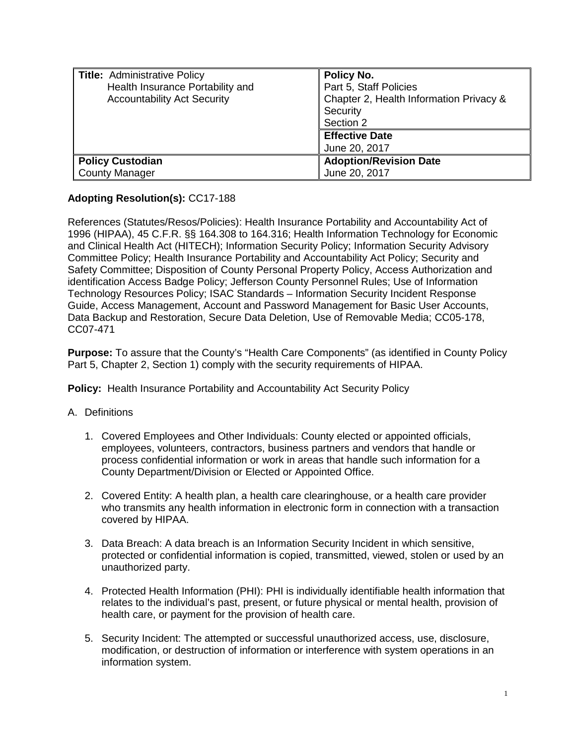| Title: Administrative Policy<br>Health Insurance Portability and<br><b>Accountability Act Security</b> | Policy No.<br>Part 5, Staff Policies<br>Chapter 2, Health Information Privacy &<br>Security<br>Section 2<br><b>Effective Date</b><br>June 20, 2017 |
|--------------------------------------------------------------------------------------------------------|----------------------------------------------------------------------------------------------------------------------------------------------------|
| <b>Policy Custodian</b>                                                                                | <b>Adoption/Revision Date</b>                                                                                                                      |
| <b>County Manager</b>                                                                                  | June 20, 2017                                                                                                                                      |

## **Adopting Resolution(s):** CC17-188

References (Statutes/Resos/Policies): Health Insurance Portability and Accountability Act of 1996 (HIPAA), 45 C.F.R. §§ 164.308 to 164.316; Health Information Technology for Economic and Clinical Health Act (HITECH); Information Security Policy; Information Security Advisory Committee Policy; Health Insurance Portability and Accountability Act Policy; Security and Safety Committee; Disposition of County Personal Property Policy, Access Authorization and identification Access Badge Policy; Jefferson County Personnel Rules; Use of Information Technology Resources Policy; ISAC Standards – Information Security Incident Response Guide, Access Management, Account and Password Management for Basic User Accounts, Data Backup and Restoration, Secure Data Deletion, Use of Removable Media; CC05-178, CC07-471

**Purpose:** To assure that the County's "Health Care Components" (as identified in County Policy Part 5, Chapter 2, Section 1) comply with the security requirements of HIPAA.

**Policy:** Health Insurance Portability and Accountability Act Security Policy

## A. Definitions

- 1. Covered Employees and Other Individuals: County elected or appointed officials, employees, volunteers, contractors, business partners and vendors that handle or process confidential information or work in areas that handle such information for a County Department/Division or Elected or Appointed Office.
- 2. Covered Entity: A health plan, a health care clearinghouse, or a health care provider who transmits any health information in electronic form in connection with a transaction covered by HIPAA.
- 3. Data Breach: A data breach is an Information Security Incident in which sensitive, protected or confidential information is copied, transmitted, viewed, stolen or used by an unauthorized party.
- 4. Protected Health Information (PHI): PHI is individually identifiable health information that relates to the individual's past, present, or future physical or mental health, provision of health care, or payment for the provision of health care.
- 5. Security Incident: The attempted or successful unauthorized access, use, disclosure, modification, or destruction of information or interference with system operations in an information system.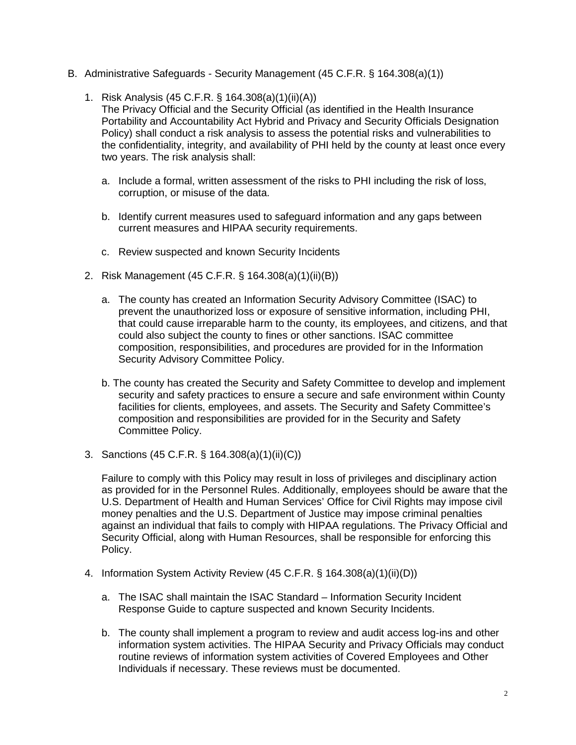- B. Administrative Safeguards Security Management (45 C.F.R. § 164.308(a)(1))
	- 1. Risk Analysis (45 C.F.R. § 164.308(a)(1)(ii)(A)) The Privacy Official and the Security Official (as identified in the Health Insurance Portability and Accountability Act Hybrid and Privacy and Security Officials Designation Policy) shall conduct a risk analysis to assess the potential risks and vulnerabilities to the confidentiality, integrity, and availability of PHI held by the county at least once every two years. The risk analysis shall:
		- a. Include a formal, written assessment of the risks to PHI including the risk of loss, corruption, or misuse of the data.
		- b. Identify current measures used to safeguard information and any gaps between current measures and HIPAA security requirements.
		- c. Review suspected and known Security Incidents
	- 2. Risk Management (45 C.F.R. § 164.308(a)(1)(ii)(B))
		- a. The county has created an Information Security Advisory Committee (ISAC) to prevent the unauthorized loss or exposure of sensitive information, including PHI, that could cause irreparable harm to the county, its employees, and citizens, and that could also subject the county to fines or other sanctions. ISAC committee composition, responsibilities, and procedures are provided for in the Information Security Advisory Committee Policy.
		- b. The county has created the Security and Safety Committee to develop and implement security and safety practices to ensure a secure and safe environment within County facilities for clients, employees, and assets. The Security and Safety Committee's composition and responsibilities are provided for in the Security and Safety Committee Policy.
	- 3. Sanctions (45 C.F.R. § 164.308(a)(1)(ii)(C))

Failure to comply with this Policy may result in loss of privileges and disciplinary action as provided for in the Personnel Rules. Additionally, employees should be aware that the U.S. Department of Health and Human Services' Office for Civil Rights may impose civil money penalties and the U.S. Department of Justice may impose criminal penalties against an individual that fails to comply with HIPAA regulations. The Privacy Official and Security Official, along with Human Resources, shall be responsible for enforcing this Policy.

- 4. Information System Activity Review (45 C.F.R. § 164.308(a)(1)(ii)(D))
	- a. The ISAC shall maintain the ISAC Standard Information Security Incident Response Guide to capture suspected and known Security Incidents.
	- b. The county shall implement a program to review and audit access log-ins and other information system activities. The HIPAA Security and Privacy Officials may conduct routine reviews of information system activities of Covered Employees and Other Individuals if necessary. These reviews must be documented.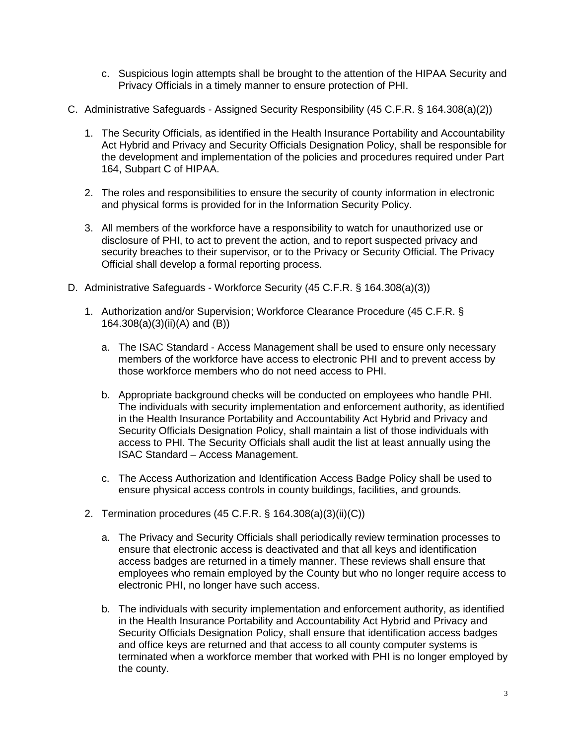- c. Suspicious login attempts shall be brought to the attention of the HIPAA Security and Privacy Officials in a timely manner to ensure protection of PHI.
- C. Administrative Safeguards Assigned Security Responsibility (45 C.F.R. § 164.308(a)(2))
	- 1. The Security Officials, as identified in the Health Insurance Portability and Accountability Act Hybrid and Privacy and Security Officials Designation Policy, shall be responsible for the development and implementation of the policies and procedures required under Part 164, Subpart C of HIPAA.
	- 2. The roles and responsibilities to ensure the security of county information in electronic and physical forms is provided for in the Information Security Policy.
	- 3. All members of the workforce have a responsibility to watch for unauthorized use or disclosure of PHI, to act to prevent the action, and to report suspected privacy and security breaches to their supervisor, or to the Privacy or Security Official. The Privacy Official shall develop a formal reporting process.
- D. Administrative Safeguards Workforce Security (45 C.F.R. § 164.308(a)(3))
	- 1. Authorization and/or Supervision; Workforce Clearance Procedure (45 C.F.R. § 164.308(a)(3)(ii)(A) and (B))
		- a. The ISAC Standard Access Management shall be used to ensure only necessary members of the workforce have access to electronic PHI and to prevent access by those workforce members who do not need access to PHI.
		- b. Appropriate background checks will be conducted on employees who handle PHI. The individuals with security implementation and enforcement authority, as identified in the Health Insurance Portability and Accountability Act Hybrid and Privacy and Security Officials Designation Policy, shall maintain a list of those individuals with access to PHI. The Security Officials shall audit the list at least annually using the ISAC Standard – Access Management.
		- c. The Access Authorization and Identification Access Badge Policy shall be used to ensure physical access controls in county buildings, facilities, and grounds.
	- 2. Termination procedures (45 C.F.R. § 164.308(a)(3)(ii)(C))
		- a. The Privacy and Security Officials shall periodically review termination processes to ensure that electronic access is deactivated and that all keys and identification access badges are returned in a timely manner. These reviews shall ensure that employees who remain employed by the County but who no longer require access to electronic PHI, no longer have such access.
		- b. The individuals with security implementation and enforcement authority, as identified in the Health Insurance Portability and Accountability Act Hybrid and Privacy and Security Officials Designation Policy, shall ensure that identification access badges and office keys are returned and that access to all county computer systems is terminated when a workforce member that worked with PHI is no longer employed by the county.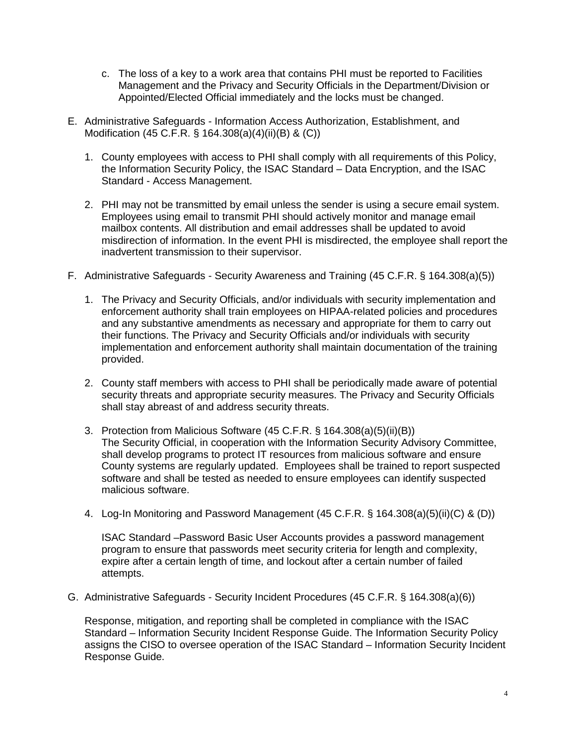- c. The loss of a key to a work area that contains PHI must be reported to Facilities Management and the Privacy and Security Officials in the Department/Division or Appointed/Elected Official immediately and the locks must be changed.
- E. Administrative Safeguards Information Access Authorization, Establishment, and Modification (45 C.F.R. § 164.308(a)(4)(ii)(B) & (C))
	- 1. County employees with access to PHI shall comply with all requirements of this Policy, the Information Security Policy, the ISAC Standard – Data Encryption, and the ISAC Standard - Access Management.
	- 2. PHI may not be transmitted by email unless the sender is using a secure email system. Employees using email to transmit PHI should actively monitor and manage email mailbox contents. All distribution and email addresses shall be updated to avoid misdirection of information. In the event PHI is misdirected, the employee shall report the inadvertent transmission to their supervisor.
- F. Administrative Safeguards Security Awareness and Training (45 C.F.R. § 164.308(a)(5))
	- 1. The Privacy and Security Officials, and/or individuals with security implementation and enforcement authority shall train employees on HIPAA-related policies and procedures and any substantive amendments as necessary and appropriate for them to carry out their functions. The Privacy and Security Officials and/or individuals with security implementation and enforcement authority shall maintain documentation of the training provided.
	- 2. County staff members with access to PHI shall be periodically made aware of potential security threats and appropriate security measures. The Privacy and Security Officials shall stay abreast of and address security threats.
	- 3. Protection from Malicious Software (45 C.F.R. § 164.308(a)(5)(ii)(B)) The Security Official, in cooperation with the Information Security Advisory Committee, shall develop programs to protect IT resources from malicious software and ensure County systems are regularly updated. Employees shall be trained to report suspected software and shall be tested as needed to ensure employees can identify suspected malicious software.
	- 4. Log-In Monitoring and Password Management (45 C.F.R. § 164.308(a)(5)(ii)(C) & (D))

ISAC Standard –Password Basic User Accounts provides a password management program to ensure that passwords meet security criteria for length and complexity, expire after a certain length of time, and lockout after a certain number of failed attempts.

G. Administrative Safeguards - Security Incident Procedures (45 C.F.R. § 164.308(a)(6))

Response, mitigation, and reporting shall be completed in compliance with the ISAC Standard – Information Security Incident Response Guide. The Information Security Policy assigns the CISO to oversee operation of the ISAC Standard – Information Security Incident Response Guide.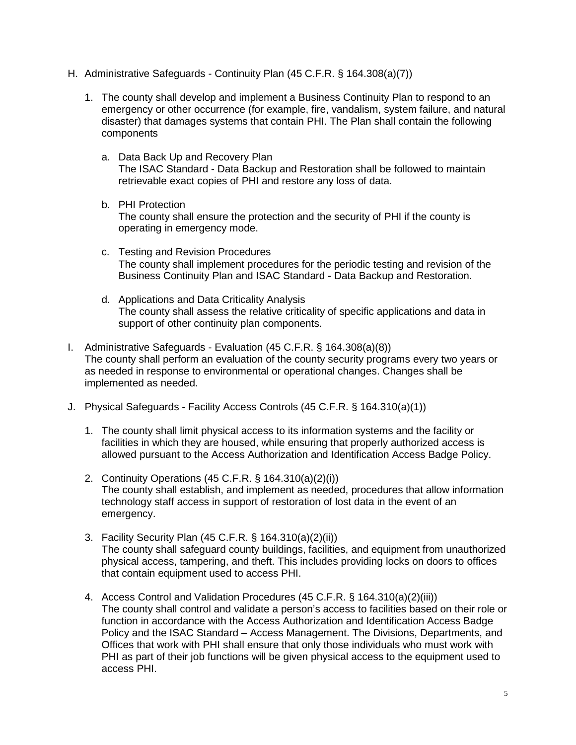- H. Administrative Safeguards Continuity Plan (45 C.F.R. § 164.308(a)(7))
	- 1. The county shall develop and implement a Business Continuity Plan to respond to an emergency or other occurrence (for example, fire, vandalism, system failure, and natural disaster) that damages systems that contain PHI. The Plan shall contain the following components
		- a. Data Back Up and Recovery Plan The ISAC Standard - Data Backup and Restoration shall be followed to maintain retrievable exact copies of PHI and restore any loss of data.
		- b. PHI Protection The county shall ensure the protection and the security of PHI if the county is operating in emergency mode.
		- c. Testing and Revision Procedures The county shall implement procedures for the periodic testing and revision of the Business Continuity Plan and ISAC Standard - Data Backup and Restoration.
		- d. Applications and Data Criticality Analysis The county shall assess the relative criticality of specific applications and data in support of other continuity plan components.
- I. Administrative Safeguards Evaluation (45 C.F.R. § 164.308(a)(8)) The county shall perform an evaluation of the county security programs every two years or as needed in response to environmental or operational changes. Changes shall be implemented as needed.
- J. Physical Safeguards Facility Access Controls (45 C.F.R. § 164.310(a)(1))
	- 1. The county shall limit physical access to its information systems and the facility or facilities in which they are housed, while ensuring that properly authorized access is allowed pursuant to the Access Authorization and Identification Access Badge Policy.
	- 2. Continuity Operations (45 C.F.R. § 164.310(a)(2)(i)) The county shall establish, and implement as needed, procedures that allow information technology staff access in support of restoration of lost data in the event of an emergency.
	- 3. Facility Security Plan (45 C.F.R. § 164.310(a)(2)(ii)) The county shall safeguard county buildings, facilities, and equipment from unauthorized physical access, tampering, and theft. This includes providing locks on doors to offices that contain equipment used to access PHI.
	- 4. Access Control and Validation Procedures (45 C.F.R. § 164.310(a)(2)(iii)) The county shall control and validate a person's access to facilities based on their role or function in accordance with the Access Authorization and Identification Access Badge Policy and the ISAC Standard – Access Management. The Divisions, Departments, and Offices that work with PHI shall ensure that only those individuals who must work with PHI as part of their job functions will be given physical access to the equipment used to access PHI.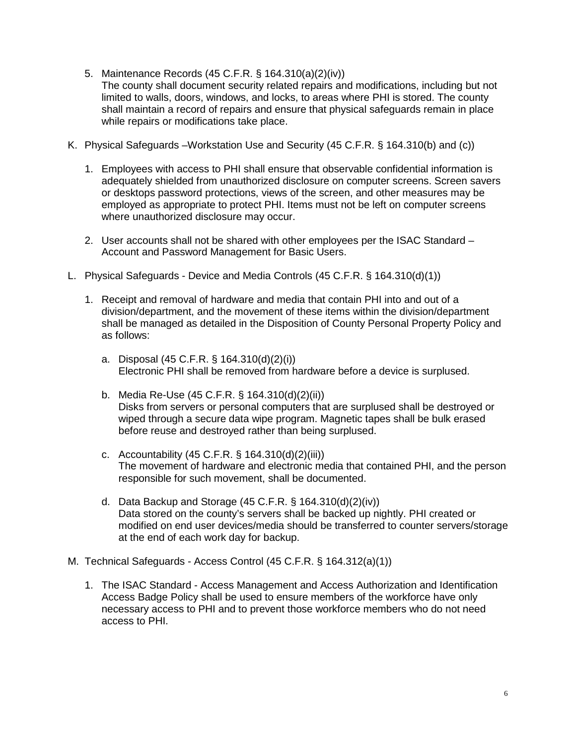- 5. Maintenance Records (45 C.F.R. § 164.310(a)(2)(iv)) The county shall document security related repairs and modifications, including but not limited to walls, doors, windows, and locks, to areas where PHI is stored. The county shall maintain a record of repairs and ensure that physical safeguards remain in place while repairs or modifications take place.
- K. Physical Safeguards –Workstation Use and Security (45 C.F.R. § 164.310(b) and (c))
	- 1. Employees with access to PHI shall ensure that observable confidential information is adequately shielded from unauthorized disclosure on computer screens. Screen savers or desktops password protections, views of the screen, and other measures may be employed as appropriate to protect PHI. Items must not be left on computer screens where unauthorized disclosure may occur.
	- 2. User accounts shall not be shared with other employees per the ISAC Standard Account and Password Management for Basic Users.
- L. Physical Safeguards Device and Media Controls (45 C.F.R. § 164.310(d)(1))
	- 1. Receipt and removal of hardware and media that contain PHI into and out of a division/department, and the movement of these items within the division/department shall be managed as detailed in the Disposition of County Personal Property Policy and as follows:
		- a. Disposal (45 C.F.R. § 164.310(d)(2)(i)) Electronic PHI shall be removed from hardware before a device is surplused.
		- b. Media Re-Use (45 C.F.R. § 164.310(d)(2)(ii)) Disks from servers or personal computers that are surplused shall be destroyed or wiped through a secure data wipe program. Magnetic tapes shall be bulk erased before reuse and destroyed rather than being surplused.
		- c. Accountability (45 C.F.R. § 164.310(d)(2)(iii)) The movement of hardware and electronic media that contained PHI, and the person responsible for such movement, shall be documented.
		- d. Data Backup and Storage (45 C.F.R. § 164.310(d)(2)(iv)) Data stored on the county's servers shall be backed up nightly. PHI created or modified on end user devices/media should be transferred to counter servers/storage at the end of each work day for backup.
- M. Technical Safeguards Access Control (45 C.F.R. § 164.312(a)(1))
	- 1. The ISAC Standard Access Management and Access Authorization and Identification Access Badge Policy shall be used to ensure members of the workforce have only necessary access to PHI and to prevent those workforce members who do not need access to PHI.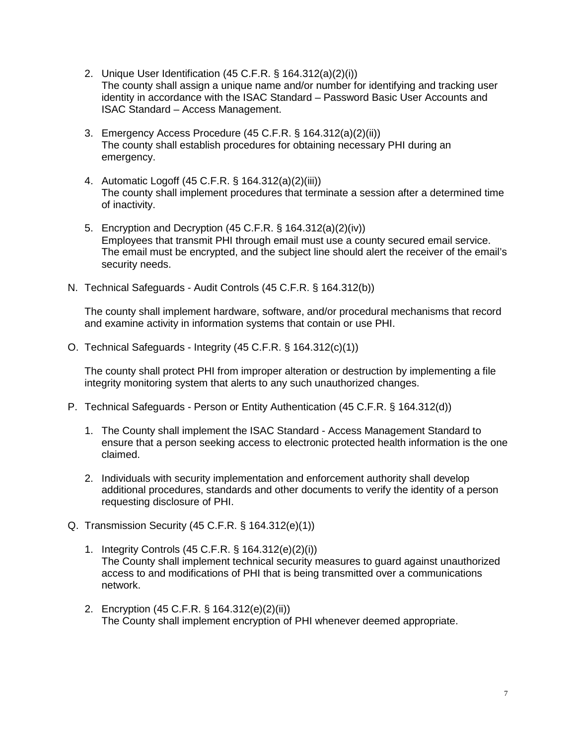- 2. Unique User Identification (45 C.F.R. § 164.312(a)(2)(i)) The county shall assign a unique name and/or number for identifying and tracking user identity in accordance with the ISAC Standard – Password Basic User Accounts and ISAC Standard – Access Management.
- 3. Emergency Access Procedure (45 C.F.R. § 164.312(a)(2)(ii)) The county shall establish procedures for obtaining necessary PHI during an emergency.
- 4. Automatic Logoff (45 C.F.R. § 164.312(a)(2)(iii)) The county shall implement procedures that terminate a session after a determined time of inactivity.
- 5. Encryption and Decryption (45 C.F.R. § 164.312(a)(2)(iv)) Employees that transmit PHI through email must use a county secured email service. The email must be encrypted, and the subject line should alert the receiver of the email's security needs.
- N. Technical Safeguards Audit Controls (45 C.F.R. § 164.312(b))

The county shall implement hardware, software, and/or procedural mechanisms that record and examine activity in information systems that contain or use PHI.

O. Technical Safeguards - Integrity (45 C.F.R. § 164.312(c)(1))

The county shall protect PHI from improper alteration or destruction by implementing a file integrity monitoring system that alerts to any such unauthorized changes.

- P. Technical Safeguards Person or Entity Authentication (45 C.F.R. § 164.312(d))
	- 1. The County shall implement the ISAC Standard Access Management Standard to ensure that a person seeking access to electronic protected health information is the one claimed.
	- 2. Individuals with security implementation and enforcement authority shall develop additional procedures, standards and other documents to verify the identity of a person requesting disclosure of PHI.
- Q. Transmission Security (45 C.F.R. § 164.312(e)(1))
	- 1. Integrity Controls (45 C.F.R. § 164.312(e)(2)(i)) The County shall implement technical security measures to guard against unauthorized access to and modifications of PHI that is being transmitted over a communications network.
	- 2. Encryption (45 C.F.R. § 164.312(e)(2)(ii)) The County shall implement encryption of PHI whenever deemed appropriate.